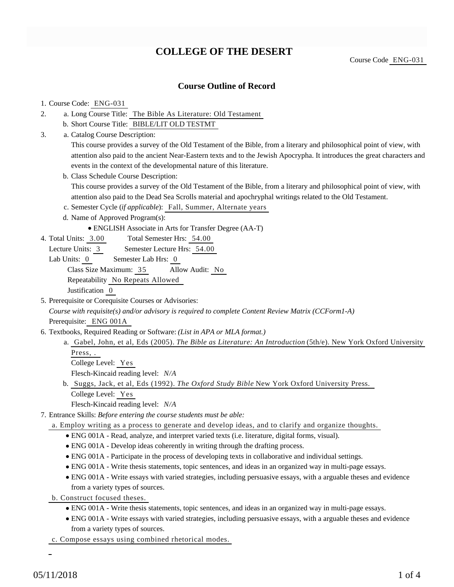# **COLLEGE OF THE DESERT**

Course Code ENG-031

# **Course Outline of Record**

### 1. Course Code: ENG-031

- a. Long Course Title: The Bible As Literature: Old Testament 2.
	- b. Short Course Title: BIBLE/LIT OLD TESTMT
- Catalog Course Description: a. 3.

This course provides a survey of the Old Testament of the Bible, from a literary and philosophical point of view, with attention also paid to the ancient Near-Eastern texts and to the Jewish Apocrypha. It introduces the great characters and events in the context of the developmental nature of this literature.

b. Class Schedule Course Description:

This course provides a survey of the Old Testament of the Bible, from a literary and philosophical point of view, with attention also paid to the Dead Sea Scrolls material and apochryphal writings related to the Old Testament.

- c. Semester Cycle (*if applicable*): Fall, Summer, Alternate years
- d. Name of Approved Program(s):
	- ENGLISH Associate in Arts for Transfer Degree (AA-T)
- Total Semester Hrs: 54.00 4. Total Units: 3.00
	- Lecture Units: 3 Semester Lecture Hrs: 54.00
	- Lab Units: 0 Semester Lab Hrs: 0

Class Size Maximum: 35 Allow Audit: No

Repeatability No Repeats Allowed

Justification 0

5. Prerequisite or Corequisite Courses or Advisories:

*Course with requisite(s) and/or advisory is required to complete Content Review Matrix (CCForm1-A)* Prerequisite: ENG 001A

- 6. Textbooks, Required Reading or Software: (List in APA or MLA format.)
	- a. Gabel, John, et al, Eds (2005). *The Bible as Literature: An Introduction* (5th/e). New York Oxford University Press, .
		- College Level: Yes

Flesch-Kincaid reading level: *N/A*

- b. Suggs, Jack, et al, Eds (1992). *The Oxford Study Bible* New York Oxford University Press. College Level: Yes
	- Flesch-Kincaid reading level: *N/A*
- Entrance Skills: *Before entering the course students must be able:* 7.
	- a. Employ writing as a process to generate and develop ideas, and to clarify and organize thoughts.
		- ENG 001A Read, analyze, and interpret varied texts (i.e. literature, digital forms, visual).
		- ENG 001A Develop ideas coherently in writing through the drafting process.
		- ENG 001A Participate in the process of developing texts in collaborative and individual settings.
		- ENG 001A Write thesis statements, topic sentences, and ideas in an organized way in multi-page essays.
		- ENG 001A Write essays with varied strategies, including persuasive essays, with a arguable theses and evidence from a variety types of sources.
	- b. Construct focused theses.
		- ENG 001A Write thesis statements, topic sentences, and ideas in an organized way in multi-page essays.
		- ENG 001A Write essays with varied strategies, including persuasive essays, with a arguable theses and evidence from a variety types of sources.
	- c. Compose essays using combined rhetorical modes.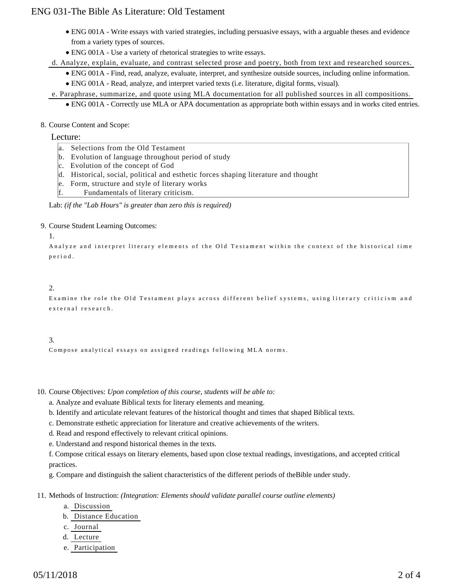# ENG 031-The Bible As Literature: Old Testament

- ENG 001A Write essays with varied strategies, including persuasive essays, with a arguable theses and evidence from a variety types of sources.
- ENG 001A Use a variety of rhetorical strategies to write essays.

d. Analyze, explain, evaluate, and contrast selected prose and poetry, both from text and researched sources.

ENG 001A - Find, read, analyze, evaluate, interpret, and synthesize outside sources, including online information.

ENG 001A - Read, analyze, and interpret varied texts (i.e. literature, digital forms, visual).

e. Paraphrase, summarize, and quote using MLA documentation for all published sources in all compositions.

ENG 001A - Correctly use MLA or APA documentation as appropriate both within essays and in works cited entries.

### 8. Course Content and Scope:

### Lecture:

- a. Selections from the Old Testament
- b. Evolution of language throughout period of study
- c. Evolution of the concept of God
- d. Historical, social, political and esthetic forces shaping literature and thought
- e. Form, structure and style of literary works
- f. Fundamentals of literary criticism.

Lab: *(if the "Lab Hours" is greater than zero this is required)*

#### 9. Course Student Learning Outcomes:

#### 1.

Analyze and interpret literary elements of the Old Testament within the context of the historical time period.

## 2.

Examine the role the Old Testament plays across different belief systems, using literary criticism and external research.

# 3.

Compose analytical essays on assigned readings following MLA norms.

10. Course Objectives: Upon completion of this course, students will be able to:

a. Analyze and evaluate Biblical texts for literary elements and meaning.

b. Identify and articulate relevant features of the historical thought and times that shaped Biblical texts.

c. Demonstrate esthetic appreciation for literature and creative achievements of the writers.

d. Read and respond effectively to relevant critical opinions.

e. Understand and respond historical themes in the texts.

f. Compose critical essays on literary elements, based upon close textual readings, investigations, and accepted critical practices.

g. Compare and distinguish the salient characteristics of the different periods of theBible under study.

11. Methods of Instruction: *(Integration: Elements should validate parallel course outline elements)* 

- a. Discussion
- b. Distance Education
- c. Journal
- d. Lecture
- e. Participation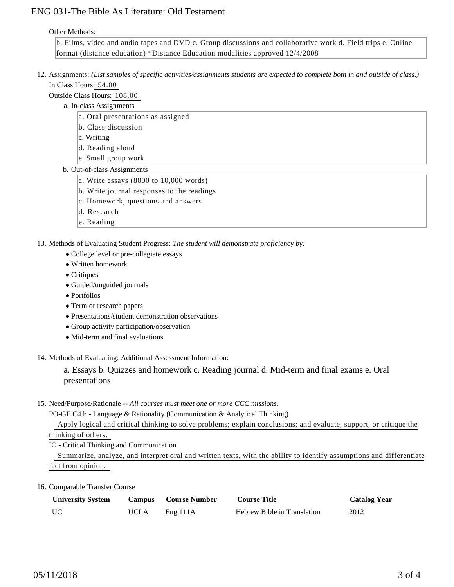# ENG 031-The Bible As Literature: Old Testament

#### Other Methods:

b. Films, video and audio tapes and DVD c. Group discussions and collaborative work d. Field trips e. Online format (distance education) \*Distance Education modalities approved 12/4/2008

- 12. Assignments: (List samples of specific activities/assignments students are expected to complete both in and outside of class.) In Class Hours: 54.00
	- Outside Class Hours: 108.00
		- a. In-class Assignments
			- a. Oral presentations as assigned
			- b. Class discussion
			- c. Writing
			- d. Reading aloud
			- e. Small group work
		- b. Out-of-class Assignments
			- a. Write essays  $(8000 \text{ to } 10,000 \text{ words})$
			- b. Write journal responses to the readings
			- c. Homework, questions and answers
			- d. Research
			- e. Reading

13. Methods of Evaluating Student Progress: The student will demonstrate proficiency by:

- College level or pre-collegiate essays
- Written homework
- Critiques
- Guided/unguided journals
- Portfolios
- Term or research papers
- Presentations/student demonstration observations
- Group activity participation/observation
- Mid-term and final evaluations
- 14. Methods of Evaluating: Additional Assessment Information:

a. Essays b. Quizzes and homework c. Reading journal d. Mid-term and final exams e. Oral presentations

15. Need/Purpose/Rationale -- All courses must meet one or more CCC missions.

PO-GE C4.b - Language & Rationality (Communication & Analytical Thinking)

 Apply logical and critical thinking to solve problems; explain conclusions; and evaluate, support, or critique the thinking of others.

IO - Critical Thinking and Communication

 Summarize, analyze, and interpret oral and written texts, with the ability to identify assumptions and differentiate fact from opinion.

16. Comparable Transfer Course

| <b>University System</b> | <b>Campus</b> | <b>Course Number</b> | <b>Course Title</b>         | <b>Catalog Year</b> |
|--------------------------|---------------|----------------------|-----------------------------|---------------------|
| <b>UC</b>                | <b>UCLA</b>   | Eng 111A             | Hebrew Bible in Translation | 2012                |